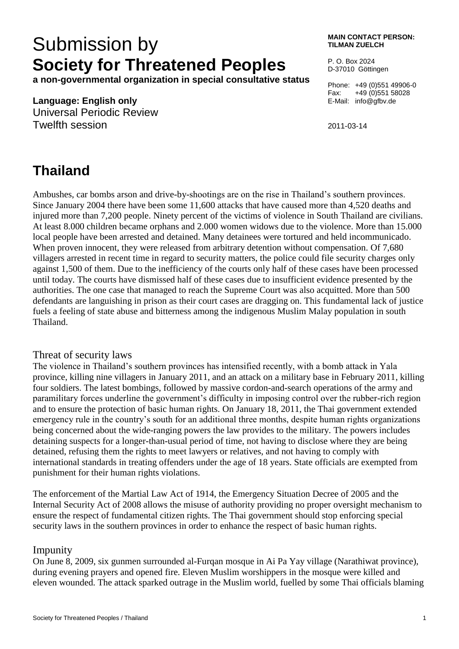# Submission by **Society for Threatened Peoples**

**a non-governmental organization in special consultative status**

#### **Language: English only**

Universal Periodic Review Twelfth session

#### **MAIN CONTACT PERSON: TILMAN ZUELCH**

P. O. Box 2024 D-37010 Göttingen

Phone: +49 (0)551 49906-0 Fax: +49 (0)551 58028 E-Mail: info@gfbv.de

2011-03-14

## **Thailand**

Ambushes, car bombs arson and drive-by-shootings are on the rise in Thailand's southern provinces. Since January 2004 there have been some 11,600 attacks that have caused more than 4,520 deaths and injured more than 7,200 people. Ninety percent of the victims of violence in South Thailand are civilians. At least 8.000 children became orphans and 2.000 women widows due to the violence. More than 15.000 local people have been arrested and detained. Many detainees were tortured and held incommunicado. When proven innocent, they were released from arbitrary detention without compensation. Of 7,680 villagers arrested in recent time in regard to security matters, the police could file security charges only against 1,500 of them. Due to the inefficiency of the courts only half of these cases have been processed until today. The courts have dismissed half of these cases due to insufficient evidence presented by the authorities. The one case that managed to reach the Supreme Court was also acquitted. More than 500 defendants are languishing in prison as their court cases are dragging on. This fundamental lack of justice fuels a feeling of state abuse and bitterness among the indigenous Muslim Malay population in south Thailand.

### Threat of security laws

The violence in Thailand's southern provinces has intensified recently, with a bomb attack in Yala province, killing nine villagers in January 2011, and an attack on a military base in February 2011, killing four soldiers. The latest bombings, followed by massive cordon-and-search operations of the army and paramilitary forces underline the government's difficulty in imposing control over the rubber-rich region and to ensure the protection of basic human rights. On January 18, 2011, the Thai government extended emergency rule in the country's south for an additional three months, despite human rights organizations being concerned about the wide-ranging powers the law provides to the military. The powers includes detaining suspects for a longer-than-usual period of time, not having to disclose where they are being detained, refusing them the rights to meet lawyers or relatives, and not having to comply with international standards in treating offenders under the age of 18 years. State officials are exempted from punishment for their human rights violations.

The enforcement of the Martial Law Act of 1914, the Emergency Situation Decree of 2005 and the Internal Security Act of 2008 allows the misuse of authority providing no proper oversight mechanism to ensure the respect of fundamental citizen rights. The Thai government should stop enforcing special security laws in the southern provinces in order to enhance the respect of basic human rights.

### Impunity

On June 8, 2009, six gunmen surrounded al-Furqan mosque in Ai Pa Yay village (Narathiwat province), during evening prayers and opened fire. Eleven Muslim worshippers in the mosque were killed and eleven wounded. The attack sparked outrage in the Muslim world, fuelled by some Thai officials blaming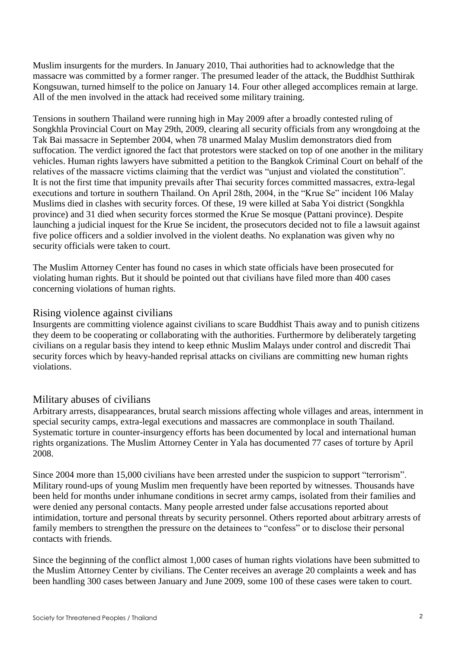Muslim insurgents for the murders. In January 2010, Thai authorities had to acknowledge that the massacre was committed by a former ranger. The presumed leader of the attack, the Buddhist Sutthirak Kongsuwan, turned himself to the police on January 14. Four other alleged accomplices remain at large. All of the men involved in the attack had received some military training.

Tensions in southern Thailand were running high in May 2009 after a broadly contested ruling of Songkhla Provincial Court on May 29th, 2009, clearing all security officials from any wrongdoing at the Tak Bai massacre in September 2004, when 78 unarmed Malay Muslim demonstrators died from suffocation. The verdict ignored the fact that protestors were stacked on top of one another in the military vehicles. Human rights lawyers have submitted a petition to the Bangkok Criminal Court on behalf of the relatives of the massacre victims claiming that the verdict was "unjust and violated the constitution". It is not the first time that impunity prevails after Thai security forces committed massacres, extra-legal executions and torture in southern Thailand. On April 28th, 2004, in the "Krue Se" incident 106 Malay Muslims died in clashes with security forces. Of these, 19 were killed at Saba Yoi district (Songkhla province) and 31 died when security forces stormed the Krue Se mosque (Pattani province). Despite launching a judicial inquest for the Krue Se incident, the prosecutors decided not to file a lawsuit against five police officers and a soldier involved in the violent deaths. No explanation was given why no security officials were taken to court.

The Muslim Attorney Center has found no cases in which state officials have been prosecuted for violating human rights. But it should be pointed out that civilians have filed more than 400 cases concerning violations of human rights.

#### Rising violence against civilians

Insurgents are committing violence against civilians to scare Buddhist Thais away and to punish citizens they deem to be cooperating or collaborating with the authorities. Furthermore by deliberately targeting civilians on a regular basis they intend to keep ethnic Muslim Malays under control and discredit Thai security forces which by heavy-handed reprisal attacks on civilians are committing new human rights violations.

### Military abuses of civilians

Arbitrary arrests, disappearances, brutal search missions affecting whole villages and areas, internment in special security camps, extra-legal executions and massacres are commonplace in south Thailand. Systematic torture in counter-insurgency efforts has been documented by local and international human rights organizations. The Muslim Attorney Center in Yala has documented 77 cases of torture by April 2008.

Since 2004 more than 15,000 civilians have been arrested under the suspicion to support "terrorism". Military round-ups of young Muslim men frequently have been reported by witnesses. Thousands have been held for months under inhumane conditions in secret army camps, isolated from their families and were denied any personal contacts. Many people arrested under false accusations reported about intimidation, torture and personal threats by security personnel. Others reported about arbitrary arrests of family members to strengthen the pressure on the detainees to "confess" or to disclose their personal contacts with friends.

Since the beginning of the conflict almost 1,000 cases of human rights violations have been submitted to the Muslim Attorney Center by civilians. The Center receives an average 20 complaints a week and has been handling 300 cases between January and June 2009, some 100 of these cases were taken to court.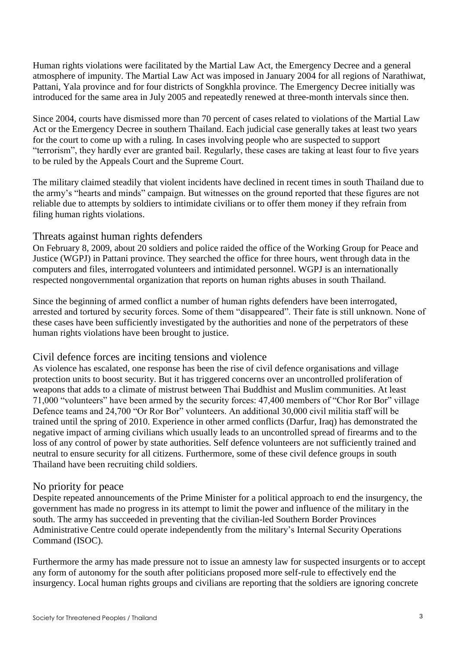Human rights violations were facilitated by the Martial Law Act, the Emergency Decree and a general atmosphere of impunity. The Martial Law Act was imposed in January 2004 for all regions of Narathiwat, Pattani, Yala province and for four districts of Songkhla province. The Emergency Decree initially was introduced for the same area in July 2005 and repeatedly renewed at three-month intervals since then.

Since 2004, courts have dismissed more than 70 percent of cases related to violations of the Martial Law Act or the Emergency Decree in southern Thailand. Each judicial case generally takes at least two years for the court to come up with a ruling. In cases involving people who are suspected to support "terrorism", they hardly ever are granted bail. Regularly, these cases are taking at least four to five years to be ruled by the Appeals Court and the Supreme Court.

The military claimed steadily that violent incidents have declined in recent times in south Thailand due to the army's "hearts and minds" campaign. But witnesses on the ground reported that these figures are not reliable due to attempts by soldiers to intimidate civilians or to offer them money if they refrain from filing human rights violations.

#### Threats against human rights defenders

On February 8, 2009, about 20 soldiers and police raided the office of the Working Group for Peace and Justice (WGPJ) in Pattani province. They searched the office for three hours, went through data in the computers and files, interrogated volunteers and intimidated personnel. WGPJ is an internationally respected nongovernmental organization that reports on human rights abuses in south Thailand.

Since the beginning of armed conflict a number of human rights defenders have been interrogated, arrested and tortured by security forces. Some of them "disappeared". Their fate is still unknown. None of these cases have been sufficiently investigated by the authorities and none of the perpetrators of these human rights violations have been brought to justice.

### Civil defence forces are inciting tensions and violence

As violence has escalated, one response has been the rise of civil defence organisations and village protection units to boost security. But it has triggered concerns over an uncontrolled proliferation of weapons that adds to a climate of mistrust between Thai Buddhist and Muslim communities. At least 71,000 "volunteers" have been armed by the security forces: 47,400 members of "Chor Ror Bor" village Defence teams and 24,700 "Or Ror Bor" volunteers. An additional 30,000 civil militia staff will be trained until the spring of 2010. Experience in other armed conflicts (Darfur, Iraq) has demonstrated the negative impact of arming civilians which usually leads to an uncontrolled spread of firearms and to the loss of any control of power by state authorities. Self defence volunteers are not sufficiently trained and neutral to ensure security for all citizens. Furthermore, some of these civil defence groups in south Thailand have been recruiting child soldiers.

### No priority for peace

Despite repeated announcements of the Prime Minister for a political approach to end the insurgency, the government has made no progress in its attempt to limit the power and influence of the military in the south. The army has succeeded in preventing that the civilian-led Southern Border Provinces Administrative Centre could operate independently from the military's Internal Security Operations Command (ISOC).

Furthermore the army has made pressure not to issue an amnesty law for suspected insurgents or to accept any form of autonomy for the south after politicians proposed more self-rule to effectively end the insurgency. Local human rights groups and civilians are reporting that the soldiers are ignoring concrete